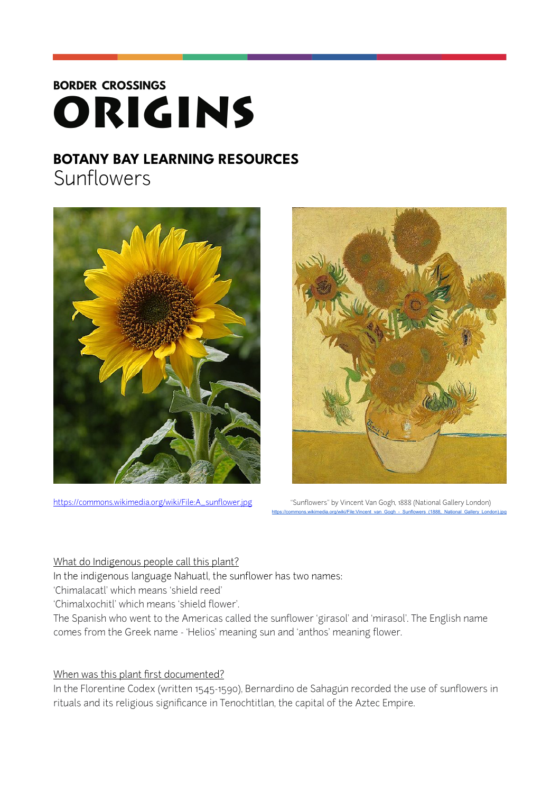# **BORDER CROSSINGS** ORIGINS

# **BOTANY BAY LEARNING RESOURCES**

Sunflowers





[https://commons.wikimedia.org/wiki/File:A\\_sunflower.jpg](https://commons.wikimedia.org/wiki/File:A_sunflower.jpg) "Sunflowers" by Vincent Van Gogh, 1888 (National Gallery London) https://commons.wikimedia.org/wiki/File:Vincent\_van\_Gogh\_-\_Sunflowers\_(1888,\_National\_Gallery

#### What do Indigenous people call this plant?

In the indigenous language Nahuatl, the sunflower has two names:

'Chimalacatl' which means 'shield reed'

'Chimalxochitl' which means 'shield flower'.

The Spanish who went to the Americas called the sunflower 'girasol' and 'mirasol'. The English name comes from the Greek name - 'Helios' meaning sun and 'anthos' meaning flower.

# When was this plant first documented?

In the Florentine Codex (written 1545-1590), Bernardino de Sahagún recorded the use of sunflowers in rituals and its religious significance in Tenochtitlan, the capital of the Aztec Empire.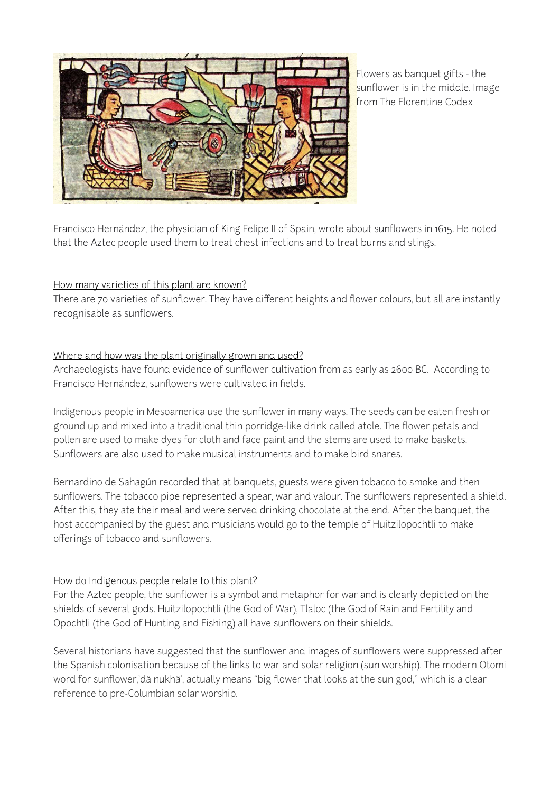

Flowers as banquet gifts - the sunflower is in the middle. Image from The Florentine Codex

Francisco Hernández, the physician of King Felipe II of Spain, wrote about sunflowers in 1615. He noted that the Aztec people used them to treat chest infections and to treat burns and stings.

### How many varieties of this plant are known?

There are 70 varieties of sunflower. They have different heights and flower colours, but all are instantly recognisable as sunflowers.

### Where and how was the plant originally grown and used?

Archaeologists have found evidence of sunflower cultivation from as early as 2600 BC. According to Francisco Hernández, sunflowers were cultivated in fields.

Indigenous people in Mesoamerica use the sunflower in many ways. The seeds can be eaten fresh or ground up and mixed into a traditional thin porridge-like drink called atole. The flower petals and pollen are used to make dyes for cloth and face paint and the stems are used to make baskets. Sunflowers are also used to make musical instruments and to make bird snares.

Bernardino de Sahagún recorded that at banquets, guests were given tobacco to smoke and then sunflowers. The tobacco pipe represented a spear, war and valour. The sunflowers represented a shield. After this, they ate their meal and were served drinking chocolate at the end. After the banquet, the host accompanied by the guest and musicians would go to the temple of Huitzilopochtli to make offerings of tobacco and sunflowers.

# How do Indigenous people relate to this plant?

For the Aztec people, the sunflower is a symbol and metaphor for war and is clearly depicted on the shields of several gods. Huitzilopochtli (the God of War), Tlaloc (the God of Rain and Fertility and Opochtli (the God of Hunting and Fishing) all have sunflowers on their shields.

Several historians have suggested that the sunflower and images of sunflowers were suppressed after the Spanish colonisation because of the links to war and solar religion (sun worship). The modern Otomi word for sunflower,'dä nukhä', actually means "big flower that looks at the sun god," which is a clear reference to pre-Columbian solar worship.